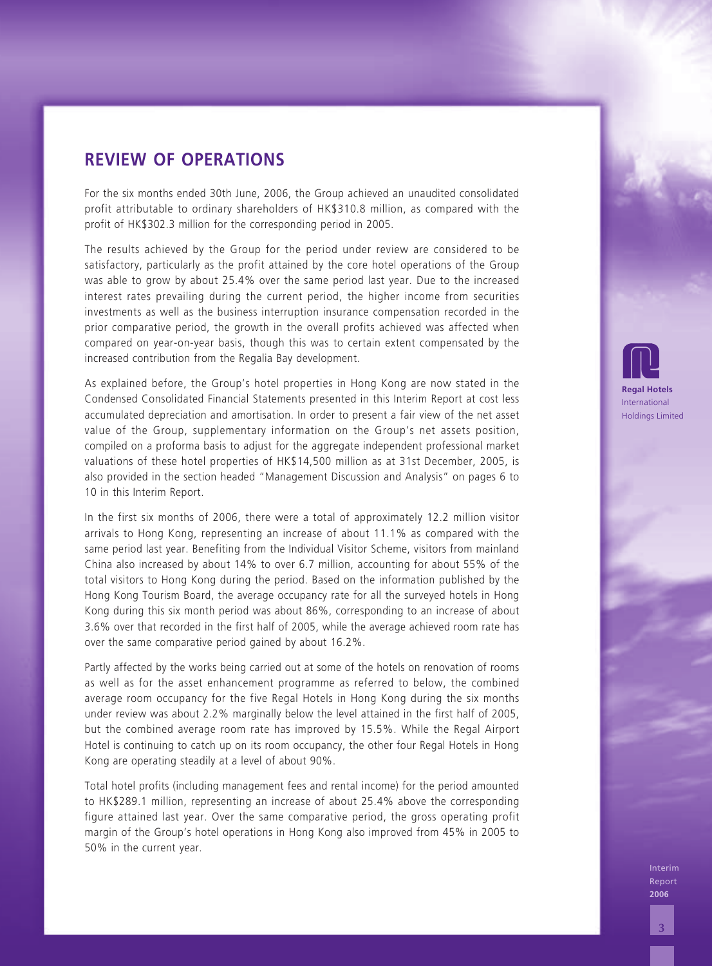For the six months ended 30th June, 2006, the Group achieved an unaudited consolidated profit attributable to ordinary shareholders of HK\$310.8 million, as compared with the profit of HK\$302.3 million for the corresponding period in 2005.

The results achieved by the Group for the period under review are considered to be satisfactory, particularly as the profit attained by the core hotel operations of the Group was able to grow by about 25.4% over the same period last year. Due to the increased interest rates prevailing during the current period, the higher income from securities investments as well as the business interruption insurance compensation recorded in the prior comparative period, the growth in the overall profits achieved was affected when compared on year-on-year basis, though this was to certain extent compensated by the increased contribution from the Regalia Bay development.

As explained before, the Group's hotel properties in Hong Kong are now stated in the Condensed Consolidated Financial Statements presented in this Interim Report at cost less accumulated depreciation and amortisation. In order to present a fair view of the net asset value of the Group, supplementary information on the Group's net assets position, compiled on a proforma basis to adjust for the aggregate independent professional market valuations of these hotel properties of HK\$14,500 million as at 31st December, 2005, is also provided in the section headed "Management Discussion and Analysis" on pages 6 to 10 in this Interim Report.

**IREVIEW OF OPERATIONS**<br> **State system states 300 have 200 the computered in unadject one state<br>
For the system state of 100 have 200 have 200 to the system of the system of the system of the system of the system of the sy** In the first six months of 2006, there were a total of approximately 12.2 million visitor arrivals to Hong Kong, representing an increase of about 11.1% as compared with the same period last year. Benefiting from the Individual Visitor Scheme, visitors from mainland China also increased by about 14% to over 6.7 million, accounting for about 55% of the total visitors to Hong Kong during the period. Based on the information published by the Hong Kong Tourism Board, the average occupancy rate for all the surveyed hotels in Hong Kong during this six month period was about 86%, corresponding to an increase of about 3.6% over that recorded in the first half of 2005, while the average achieved room rate has over the same comparative period gained by about 16.2%.

Partly affected by the works being carried out at some of the hotels on renovation of rooms as well as for the asset enhancement programme as referred to below, the combined average room occupancy for the five Regal Hotels in Hong Kong during the six months under review was about 2.2% marginally below the level attained in the first half of 2005, but the combined average room rate has improved by 15.5%. While the Regal Airport Hotel is continuing to catch up on its room occupancy, the other four Regal Hotels in Hong Kong are operating steadily at a level of about 90%.

Total hotel profits (including management fees and rental income) for the period amounted to HK\$289.1 million, representing an increase of about 25.4% above the corresponding figure attained last year. Over the same comparative period, the gross operating profit margin of the Group's hotel operations in Hong Kong also improved from 45% in 2005 to 50% in the current year.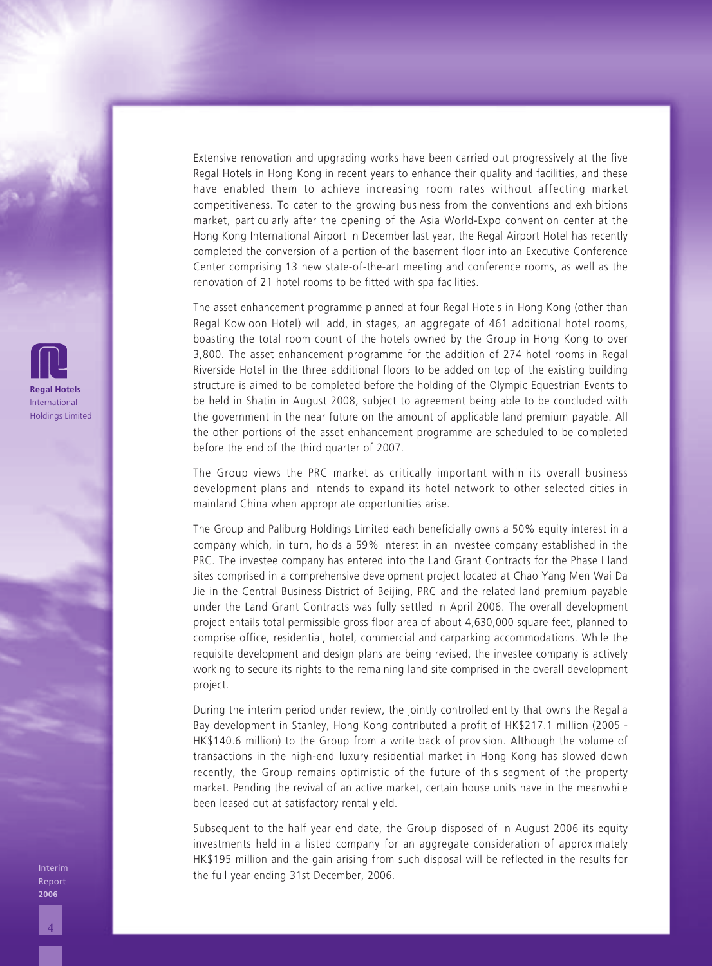Extensive renovation and upgrading works have been carried out progressively at the five Regal Hotels in Hong Kong in recent years to enhance their quality and facilities, and these have enabled them to achieve increasing room rates without affecting market competitiveness. To cater to the growing business from the conventions and exhibitions market, particularly after the opening of the Asia World-Expo convention center at the Hong Kong International Airport in December last year, the Regal Airport Hotel has recently completed the conversion of a portion of the basement floor into an Executive Conference Center comprising 13 new state-of-the-art meeting and conference rooms, as well as the renovation of 21 hotel rooms to be fitted with spa facilities.

The asset enhancement programme planned at four Regal Hotels in Hong Kong (other than Regal Kowloon Hotel) will add, in stages, an aggregate of 461 additional hotel rooms, boasting the total room count of the hotels owned by the Group in Hong Kong to over 3,800. The asset enhancement programme for the addition of 274 hotel rooms in Regal Riverside Hotel in the three additional floors to be added on top of the existing building structure is aimed to be completed before the holding of the Olympic Equestrian Events to be held in Shatin in August 2008, subject to agreement being able to be concluded with the government in the near future on the amount of applicable land premium payable. All the other portions of the asset enhancement programme are scheduled to be completed before the end of the third quarter of 2007.

The Group views the PRC market as critically important within its overall business development plans and intends to expand its hotel network to other selected cities in mainland China when appropriate opportunities arise.

The Group and Paliburg Holdings Limited each beneficially owns a 50% equity interest in a company which, in turn, holds a 59% interest in an investee company established in the PRC. The investee company has entered into the Land Grant Contracts for the Phase I land sites comprised in a comprehensive development project located at Chao Yang Men Wai Da Jie in the Central Business District of Beijing, PRC and the related land premium payable under the Land Grant Contracts was fully settled in April 2006. The overall development project entails total permissible gross floor area of about 4,630,000 square feet, planned to comprise office, residential, hotel, commercial and carparking accommodations. While the requisite development and design plans are being revised, the investee company is actively working to secure its rights to the remaining land site comprised in the overall development project.

During the interim period under review, the jointly controlled entity that owns the Regalia Bay development in Stanley, Hong Kong contributed a profit of HK\$217.1 million (2005 - HK\$140.6 million) to the Group from a write back of provision. Although the volume of transactions in the high-end luxury residential market in Hong Kong has slowed down recently, the Group remains optimistic of the future of this segment of the property market. Pending the revival of an active market, certain house units have in the meanwhile been leased out at satisfactory rental yield.

Subsequent to the half year end date, the Group disposed of in August 2006 its equity investments held in a listed company for an aggregate consideration of approximately HK\$195 million and the gain arising from such disposal will be reflected in the results for the full year ending 31st December, 2006.



Interim Report **2006**